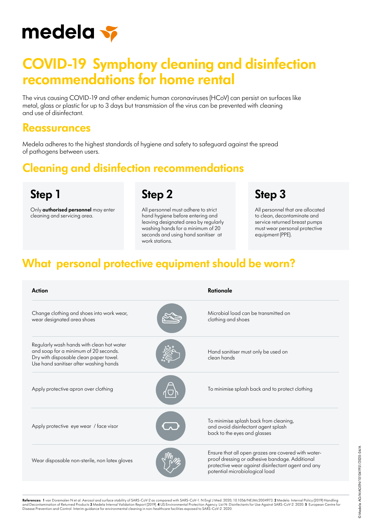

# **COVID-19 Symphony cleaning and disinfection recommendations for home rental**

The virus causing COVID-19 and other endemic human coronaviruses (HCoV) can persist on surfaces like metal, glass or plastic for up to 3 days but transmission of the virus can be prevented with cleaning and use of disinfectant.

#### **Reassurances**

Medela adheres to the highest standards of hygiene and safety to safeguard against the spread of pathogens between users.

**Step 2**

## **Cleaning and disinfection recommendations**

**Step 1**

Only **authorised personnel** may enter cleaning and servicing area.

All personnel must adhere to strict hand hygiene before entering and leaving designated area by regularly washing hands for a minimum of 20 seconds and using hand sanitiser at work stations.

**Step 3**

All personnel that are allocated to clean, decontaminate and service returned breast pumps must wear personal protective equipment (PPE).

## **What personal protective equipment should be worn?**

| Action                                                                                                                                                                 | Rationale                                                                                                                                                                                     |
|------------------------------------------------------------------------------------------------------------------------------------------------------------------------|-----------------------------------------------------------------------------------------------------------------------------------------------------------------------------------------------|
| Change clothing and shoes into work wear,<br>wear designated area shoes                                                                                                | Microbial load can be transmitted on<br>clothing and shoes                                                                                                                                    |
| Regularly wash hands with clean hot water<br>and soap for a minimum of 20 seconds.<br>Dry with disposable clean paper towel.<br>Use hand sanitiser after washing hands | Hand sanitiser must only be used on<br>clean hands                                                                                                                                            |
| Apply protective apron over clothing                                                                                                                                   | To minimise splash back and to protect clothing                                                                                                                                               |
| Apply protective eye wear / face visor                                                                                                                                 | To minimise splash back from cleaning,<br>and avoid disinfectant agent splash<br>back to the eyes and glasses                                                                                 |
| Wear disposable non-sterile, non latex gloves                                                                                                                          | Ensure that all open grazes are covered with water-<br>proof dressing or adhesive bandage. Additional<br>protective wear against disinfectant agent and any<br>potential microbiological load |

© Medela AG/MAGEN/101041951/2020-04/A ©Medela AG/MAGEN/101041951/2020-04/A

**References: 1** van Doremalen N et al. Aerosol and surface stability of SARS-CoV-2 as compared with SARS-CoV-1. N Engl J Med. 2020; 10.1056/NEJMc2004973. **2** Medela Internal Policy (2019) Handling<br>and Decontamination of Re Numeron Control. Interim guidance for environmental cleaning in non-healthcare facilities exposed to SARS-CoV-2. 2020.<br>Disease Prevention and Control. Interim guidance for environmental cleaning in non-healthcare facilitie